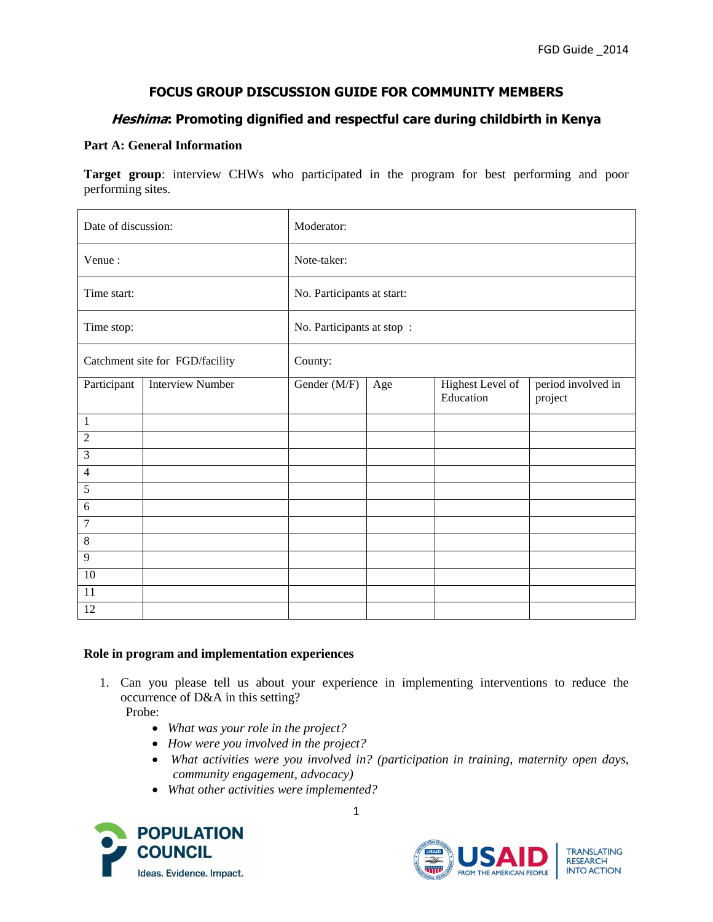# **FOCUS GROUP DISCUSSION GUIDE FOR COMMUNITY MEMBERS**

# **Heshima: Promoting dignified and respectful care during childbirth in Kenya**

## **Part A: General Information**

**Target group**: interview CHWs who participated in the program for best performing and poor performing sites.

| Date of discussion:             |                         | Moderator:                 |     |                               |                               |
|---------------------------------|-------------------------|----------------------------|-----|-------------------------------|-------------------------------|
| Venue:                          |                         | Note-taker:                |     |                               |                               |
| Time start:                     |                         | No. Participants at start: |     |                               |                               |
| Time stop:                      |                         | No. Participants at stop:  |     |                               |                               |
| Catchment site for FGD/facility |                         | County:                    |     |                               |                               |
| Participant                     | <b>Interview Number</b> | Gender (M/F)               | Age | Highest Level of<br>Education | period involved in<br>project |
| 1                               |                         |                            |     |                               |                               |
| $\overline{c}$                  |                         |                            |     |                               |                               |
| $\mathfrak{Z}$                  |                         |                            |     |                               |                               |
| $\overline{4}$                  |                         |                            |     |                               |                               |
| $\sqrt{5}$                      |                         |                            |     |                               |                               |
| 6                               |                         |                            |     |                               |                               |
| $\overline{7}$                  |                         |                            |     |                               |                               |
| $\,8\,$                         |                         |                            |     |                               |                               |
| 9                               |                         |                            |     |                               |                               |
| $10\,$                          |                         |                            |     |                               |                               |
| 11                              |                         |                            |     |                               |                               |
| $\overline{12}$                 |                         |                            |     |                               |                               |

### **Role in program and implementation experiences**

1. Can you please tell us about your experience in implementing interventions to reduce the occurrence of D&A in this setting?

Probe:

- *What was your role in the project?*
- *How were you involved in the project?*
- *What activities were you involved in? (participation in training, maternity open days, community engagement, advocacy)*
- *What other activities were implemented?*



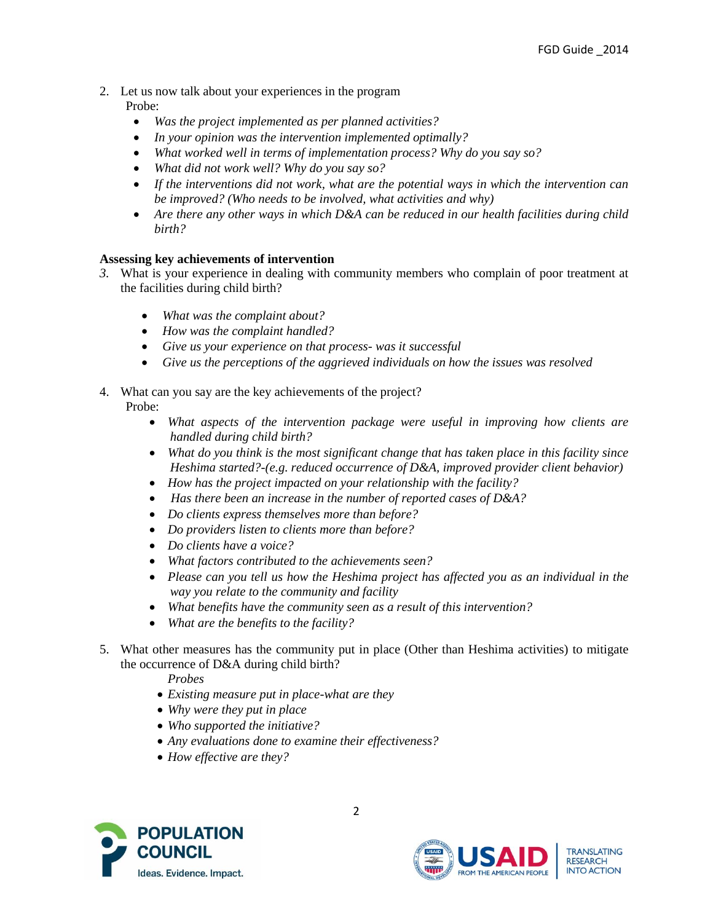# 2. Let us now talk about your experiences in the program

Probe:

- *Was the project implemented as per planned activities?*
- *In your opinion was the intervention implemented optimally?*
- *What worked well in terms of implementation process? Why do you say so?*
- *What did not work well? Why do you say so?*
- *If the interventions did not work, what are the potential ways in which the intervention can be improved? (Who needs to be involved, what activities and why)*
- *Are there any other ways in which D&A can be reduced in our health facilities during child birth?*

# **Assessing key achievements of intervention**

- *3.* What is your experience in dealing with community members who complain of poor treatment at the facilities during child birth?
	- *What was the complaint about?*
	- *How was the complaint handled?*
	- *Give us your experience on that process- was it successful*
	- *Give us the perceptions of the aggrieved individuals on how the issues was resolved*
- 4. What can you say are the key achievements of the project? Probe:
	- *What aspects of the intervention package were useful in improving how clients are handled during child birth?*
	- *What do you think is the most significant change that has taken place in this facility since Heshima started?-(e.g. reduced occurrence of D&A, improved provider client behavior)*
	- *How has the project impacted on your relationship with the facility?*
	- *Has there been an increase in the number of reported cases of D&A?*
	- *Do clients express themselves more than before?*
	- *Do providers listen to clients more than before?*
	- *Do clients have a voice?*
	- *What factors contributed to the achievements seen?*
	- *Please can you tell us how the Heshima project has affected you as an individual in the way you relate to the community and facility*
	- *What benefits have the community seen as a result of this intervention?*
	- *What are the benefits to the facility?*
- 5. What other measures has the community put in place (Other than Heshima activities) to mitigate the occurrence of D&A during child birth?

*Probes* 

- *Existing measure put in place-what are they*
- *Why were they put in place*
- *Who supported the initiative?*
- *Any evaluations done to examine their effectiveness?*
- *How effective are they?*



**TRANSLATING RESEARCH INTO ACTION**